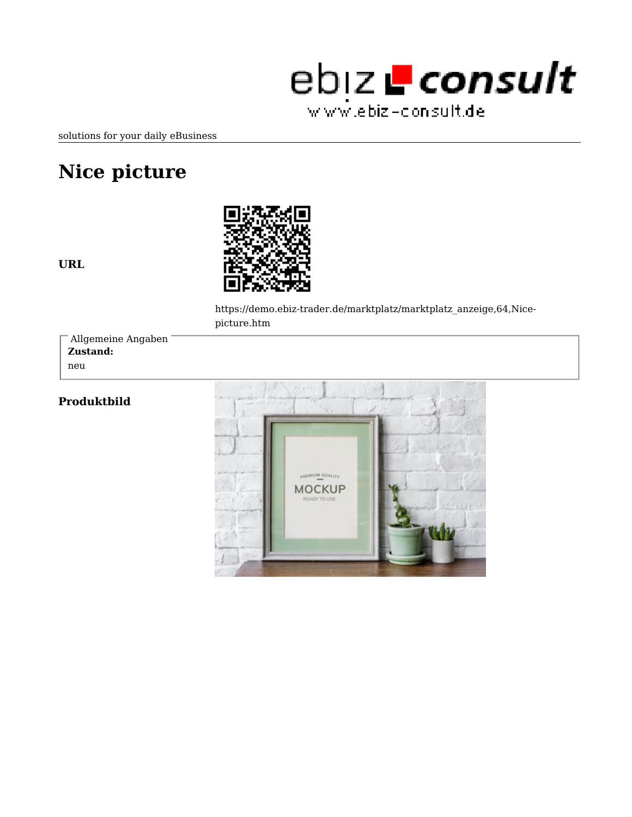

solutions for your daily eBusiness

## **Nice picture**





https://demo.ebiz-trader.de/marktplatz/marktplatz\_anzeige,64,Nicepicture.htm

**Zustand:** neu Allgemeine Angaben

## **Produktbild**